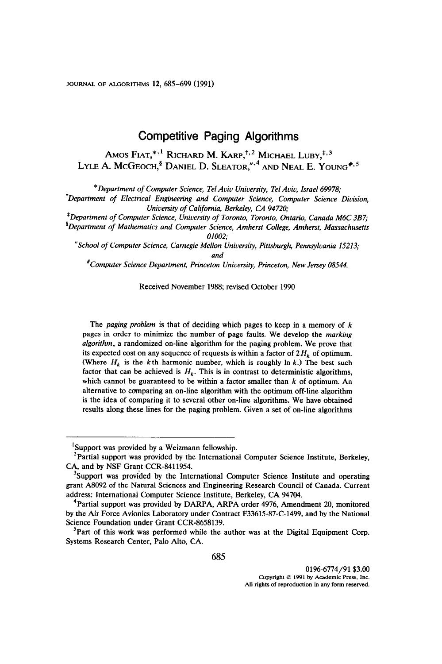JOURNAL OF ALGORITHMS 12,685-699 (1991)

# Competitive Paging Algorithms

Amos Fiat,  $*$ ,  $1$  Richard M. Karp,  $*$ ,  $2$  Michael Luby,  $*$ ,  $3$ LYLE A. MCGEOCH, $^{\$}$  Daniel D. Sleator,", And Neal E. Young<sup>#,5</sup>

\*Department of Computer Science, Tel Aviv University, Tel Aviv, Israel 69978;

<sup>†</sup>Department of Electrical Engineering and Computer Science, Computer Science Division, University of California, Berkeley, CA 94720;

'Department of Computer Science, University of Toronto, Toronto, Ontario, Canada M6C 3B7;

 ${}^{8}$ Department of Mathematics and Computer Science, Amherst College, Amherst, Massachusetts 01002;

"School of Computer Science, Carnegie Mellon University, Pittsburgh, Pennsylvania 15213; and

'Computer Science Department, Princeton University, Princeton, New Jersey 08544.

#### Received November 1988; revised October 1990

The *paging problem* is that of deciding which pages to keep in a memory of  $k$ pages in order to minimize the number of page faults. We develop the marking algorithm, a randomized on-line algorithm for the paging problem. We prove that its expected cost on any sequence of requests is within a factor of  $2H_k$  of optimum. (Where  $H_k$  is the kth harmonic number, which is roughly ln k.) The best such factor that can be achieved is  $H_k$ . This is in contrast to deterministic algorithms, which cannot be guaranteed to be within a factor smaller than  $k$  of optimum. An alternative to comparing an on-line algorithm with the optimum off-line algorithm is the idea of comparing it to several other on-line algorithms. We have obtained results along these lines for the paging problem. Given a set of on-line algorithms

<sup>&#</sup>x27;Support was provided by a Weizmann fellowship.

 $2$ Partial support was provided by the International Computer Science Institute, Berkeley, CA, and by NSF Grant CCR-8411954.

<sup>&</sup>lt;sup>3</sup>Support was provided by the International Computer Science Institute and operating grant A8092 of the Natural Sciences and Engineering Research Council of Canada. Current address: International Computer Science Institute, Berkeley, CA 94704.

 $4$ Partial support was provided by DARPA, ARPA order 4976, Amendment 20, monitored by the Air Force Avionics Laboratory under Contract F33615-87-C-1499, and by the National Science Foundation under Grant CCR-8658139.

<sup>&#</sup>x27;Part of this work was performed while the author was at the Digital Equipment Corp. Systems Research Center, Palo Alto, CA.

<sup>0196-6774/91 \$3.00</sup>  Copyright © 1991 by Academic Press, Inc. All rights of reproduction in any form reserved.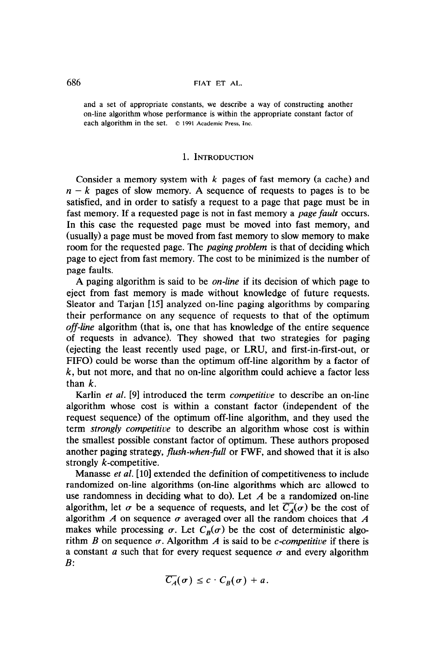and a set of appropriate constants, we describe a way of constructing another on-line algorithm whose performance is within the appropriate constant factor of each algorithm in the set.  $© 1991$  Academic Press, Inc.

### 1. INTRODUCTION

Consider a memory system with  $k$  pages of fast memory (a cache) and  $n - k$  pages of slow memory. A sequence of requests to pages is to be satisfied, and in order to satisfy a request to a page that page must be in fast memory. If a requested page is not in fast memory a *page fault* occurs. In this case the requested page must be moved into fast memory, and (usually) a page must be moved from fast memory to slow memory to make room for the requested page. The *paging problem* is that of deciding which page to eject from fast memory. The cost to be minimized is the number of page faults.

A paging algorithm is said to be *on-line* if its decision of which page to eject from fast memory is made without knowledge of future requests. Sleator and Tarjan [15] analyzed on-line paging algorithms by comparing their performance on any sequence of requests to that of the optimum off-line algorithm (that is, one that has knowledge of the entire sequence of requests in advance). They showed that two strategies for paging (ejecting the least recently used page, or LRU, and first-in-first-out, or FIFO) could be worse than the optimum off-line algorithm by a factor of  $k$ , but not more, and that no on-line algorithm could achieve a factor less than  $k$ .

Karlin *et al.* [9] introduced the term *competitive* to describe an on-line algorithm whose cost is within a constant factor (independent of the request sequence) of the optimum off-line algorithm, and they used the term strongly competitive to describe an algorithm whose cost is within the smallest possible constant factor of optimum. These authors proposed another paging strategy, flush-when-full or FWF, and showed that it is also strongly k-competitive.

Manasse et al. [10] extended the definition of competitiveness to include randomized on-line algorithms (on-line algorithms which are allowed to use randomness in deciding what to do). Let  $A$  be a randomized on-line algorithm, let  $\sigma$  be a sequence of requests, and let  $\overline{C_A}(\sigma)$  be the cost of algorithm  $A$  on sequence  $\sigma$  averaged over all the random choices that  $A$ makes while processing  $\sigma$ . Let  $C_R(\sigma)$  be the cost of deterministic algorithm B on sequence  $\sigma$ . Algorithm A is said to be *c*-competitive if there is a constant a such that for every request sequence  $\sigma$  and every algorithm  $B:$ 

$$
\overline{C_A}(\sigma) \leq c \cdot C_B(\sigma) + a.
$$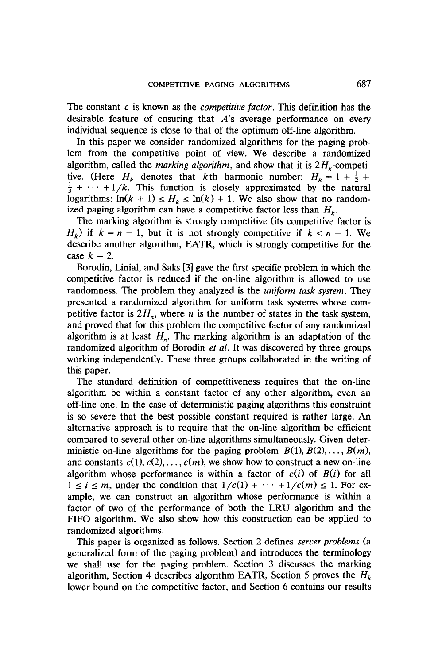The constant  $c$  is known as the *competitive factor*. This definition has the desirable feature of ensuring that  $A$ 's average performance on every individual sequence is close to that of the optimum off-line algorithm.

In this paper we consider randomized algorithms for the paging problem from the competitive point of view. We describe a randomized algorithm, called the *marking algorithm*, and show that it is  $2H_k$ -competitive. (Here H, denotes that kth harmonic number:  $H = 1 + \frac{1}{2} + \frac{1}{2}$  $\frac{1}{2} + \cdots + 1/k$ . This function is closely approximated by the natural logarithms:  $\ln(k + 1) \le H_k \le \ln(k) + 1$ . We also show that no randomized paging algorithm can have a competitive factor less than  $H_k$ .

The marking algorithm is strongly competitive (its competitive factor is  $H_k$ ) if  $k = n - 1$ , but it is not strongly competitive if  $k < n - 1$ . We describe another algorithm, EATR, which is strongly competitive for the case  $k = 2$ .

Borodin, Linial, and Saks [3] gave the first specific problem in which the competitive factor is reduced if the on-line algorithm is allowed to use randomness. The problem they analyzed is the *uniform task system*. They presented a randomized algorithm for uniform task systems whose competitive factor is  $2H_n$ , where n is the number of states in the task system, and proved that for this problem the competitive factor of any randomized algorithm is at least  $H_n$ . The marking algorithm is an adaptation of the randomized algorithm of Borodin *et al.* It was discovered by three groups working independently. These three groups collaborated in the writing of this paper.

The standard definition of competitiveness requires that the on-line algorithm be within a constant factor of any other algorithm, even an off-line one. In the case of deterministic paging algorithms this constraint is so severe that the best possible constant required is rather large. An alternative approach is to require that the on-line algorithm be efficient compared to several other on-line algorithms simultaneously. Given deterministic on-line algorithms for the paging problem  $B(1), B(2), \ldots, B(m)$ , and constants  $c(1), c(2), \ldots, c(m)$ , we show how to construct a new on-line algorithm whose performance is within a factor of  $c(i)$  of  $B(i)$  for all  $1 \le i \le m$ , under the condition that  $1/c(1) + \cdots + 1/c(m) \le 1$ . For ex $a \ge b \ge m$ , under the condition that  $1/c(1)$ ample, we can construct an algorithm whose performance is within a factor of two of the performance of both the LRU algorithm and the FIFO algorithm. We also show how this construction can be applied to randomized algorithms.  $T_{\text{1}}$  as  $T_{\text{2}}$  defines server problems server problems server problems (as  $T_{\text{2}}$  defines server problems (as  $T_{\text{2}}$  defined as  $T_{\text{2}}$  defined as  $T_{\text{2}}$  defined as  $T_{\text{2}}$  defined as  $T_{\text{2}}$  define

This paper is organized as follows, section 2 defines server problems generalized form of the paging problem) and introduces the terminology we shall use for the paging problem. Section 3 discusses the marking algorithm, Section 4 describes algorithm EATR, Section 5 proves the  $H_k$  lower bound on the competitive factor, and Section 6 contains our results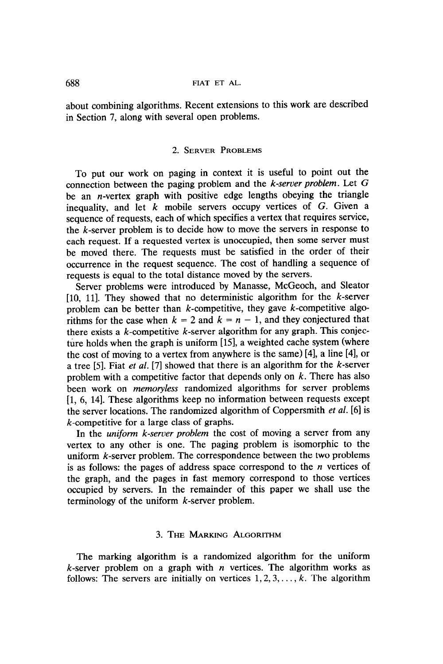about combining algorithms. Recent extensions to this work are described in Section 7, along with several open problems.

# 2. SERVER PROBLEMS

To put our work on paging in context it is useful to point out the connection between the paging problem and the  $k$ -server problem. Let  $G$ be an *n*-vertex graph with positive edge lengths obeying the triangle inequality, and let  $k$  mobile servers occupy vertices of  $G$ . Given a sequence of requests, each of which specifies a vertex that requires service, the  $k$ -server problem is to decide how to move the servers in response to each request. If a requested vertex is unoccupied, then some server must be moved there. The requests must be satisfied in the order of their occurrence in the request sequence. The cost of handling a sequence of requests is equal to the total distance moved by the servers.

Server problems were introduced by Manasse, McGeoch, and Sleator [10, 11]. They showed that no deterministic algorithm for the  $k$ -server problem can be better than  $k$ -competitive, they gave  $k$ -competitive algorithms for the case when  $k = 2$  and  $k = n - 1$ , and they conjectured that there exists a  $k$ -competitive  $k$ -server algorithm for any graph. This conjecture holds when the graph is uniform [15], a weighted cache system (where the cost of moving to a vertex from anywhere is the same)  $[4]$ , a line  $[4]$ , or a tree [5]. Fiat et al. [7] showed that there is an algorithm for the k-server problem with a competitive factor that depends only on  $k$ . There has also been work on memoryless randomized algorithms for server problems [l, 6, 141. These algorithms keep no information between requests except the server locations. The randomized algorithm of Coppersmith et al. [6] is k-competitive for a large class of graphs.

In the *uniform k-server problem* the cost of moving a server from any vertex to any other is one. The paging problem is isomorphic to the uniform *k*-server problem. The correspondence between the two problems is as follows: the pages of address space correspond to the  $n$  vertices of the graph, and the pages in fast memory correspond to those vertices occupied by servers. In the remainder of this paper we shall use the terminology of the uniform k-server problem.

# 3. THE MARKING ALGORITHM

The marking algorithm is a randomized algorithm for the uniform k-server problem on a graph with  $n$  vertices. The algorithm works as follows: The servers are initially on vertices  $1, 2, 3, \ldots, k$ . The algorithm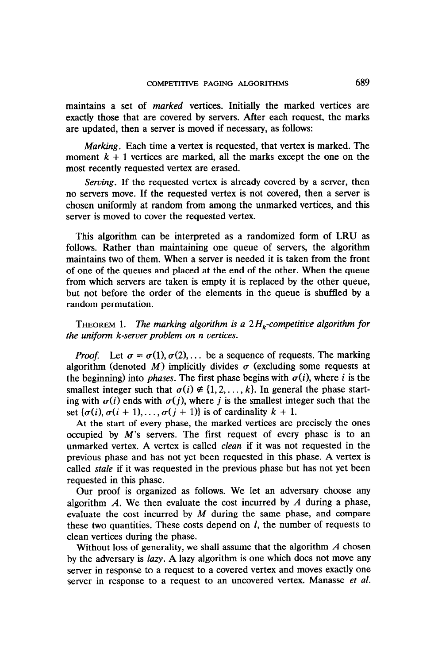maintains a set of marked vertices. Initially the marked vertices are exactly those that are covered by servers. After each request, the marks are updated, then a server is moved if necessary, as follows:

Marking. Each time a vertex is requested, that vertex is marked. The moment  $k + 1$  vertices are marked, all the marks except the one on the most recently requested vertex are erased.

Serving. If the requested vertex is already covered by a server, then no servers move. If the requested vertex is not covered, then a server is chosen uniformly at random from among the unmarked vertices, and this server is moved to cover the requested vertex.

This algorithm can be interpreted as a randomized form of LRU as follows. Rather than maintaining one queue of servers, the algorithm maintains two of them. When a server is needed it is taken from the front of one of the queues and placed at the end of the other. When the queue from which servers are taken is empty it is replaced by the other queue, but not before the order of the elements in the queue is shuffled by a random permutation.

THEOREM 1. The marking algorithm is a  $2H_k$ -competitive algorithm for the uniform k-server problem on n vertices.

*Proof.* Let  $\sigma = \sigma(1), \sigma(2), \ldots$  be a sequence of requests. The marking algorithm (denoted M) implicitly divides  $\sigma$  (excluding some requests at the beginning) into *phases*. The first phase begins with  $\sigma(i)$ , where i is the smallest integer such that  $\sigma(i) \notin \{1, 2, ..., k\}$ . In general the phase starting with  $\sigma(i)$  ends with  $\sigma(j)$ , where j is the smallest integer such that the set  $\{\sigma(i), \sigma(i + 1), \ldots, \sigma(j + 1)\}\$ is of cardinality  $k + 1$ .

At the start of every phase, the marked vertices are precisely the ones occupied by  $M$ 's servers. The first request of every phase is to an unmarked vertex. A vertex is called clean if it was not requested in the previous phase and has not yet been requested in this phase. A vertex is called *stale* if it was requested in the previous phase but has not yet been requested in this phase.

Our proof is organized as follows. We let an adversary choose any algorithm  $A$ . We then evaluate the cost incurred by  $A$  during a phase, evaluate the cost incurred by  $M$  during the same phase, and compare these two quantities. These costs depend on  $l$ , the number of requests to clean vertices during the phase.

Without loss of generality, we shall assume that the algorithm  $\vec{A}$  chosen by the adversary is *lazy*. A lazy algorithm is one which does not move any server in response to a request to a covered vertex and moves exactly one server in response to a request to an uncovered vertex. Manasse et al.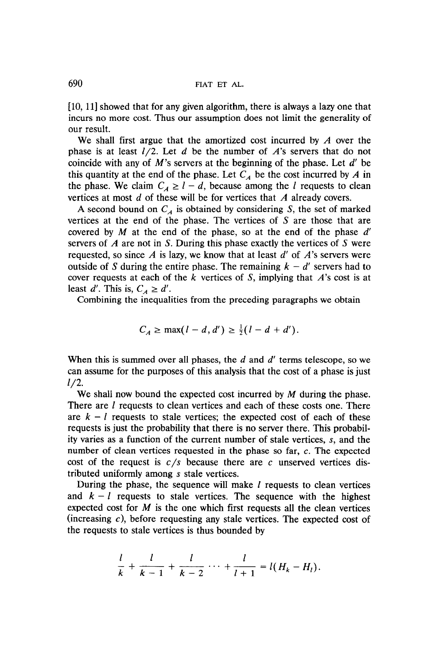[10, 11] showed that for any given algorithm, there is always a lazy one that incurs no more cost. Thus our assumption does not limit the generality of our result.

We shall first argue that the amortized cost incurred by  $A$  over the phase is at least  $l/2$ . Let d be the number of A's servers that do not coincide with any of  $M$ 's servers at the beginning of the phase. Let  $d'$  be this quantity at the end of the phase. Let  $C_A$  be the cost incurred by A in the phase. We claim  $C_A \geq l - d$ , because among the l requests to clean vertices at most d of these will be for vertices that A already covers.

A second bound on  $C_A$  is obtained by considering S, the set of marked vertices at the end of the phase. The vertices of S are those that are covered by  $M$  at the end of the phase, so at the end of the phase  $d'$ servers of  $\vec{A}$  are not in S. During this phase exactly the vertices of S were requested, so since  $A$  is lazy, we know that at least  $d'$  of  $A$ 's servers were outside of S during the entire phase. The remaining  $k - d'$  servers had to cover requests at each of the  $k$  vertices of  $S$ , implying that  $A$ 's cost is at least d'. This is,  $C_A \ge d'$ .

Combining the inequalities from the preceding paragraphs we obtain

$$
C_A \ge \max(l-d, d') \ge \frac{1}{2}(l-d+d').
$$

When this is summed over all phases, the  $d$  and  $d'$  terms telescope, so we can assume for the purposes of this analysis that the cost of a phase is just  $l/2$ .

We shall now bound the expected cost incurred by M during the phase. There are *l* requests to clean vertices and each of these costs one. There are  $k - l$  requests to stale vertices; the expected cost of each of these requests is just the probability that there is no server there. This probability varies as a function of the current number of stale vertices, S, and the number of clean vertices requested in the phase so far, c. The expected cost of the request is  $c/s$  because there are c unserved vertices distributed uniformly among s stale vertices.

During the phase, the sequence will make  $l$  requests to clean vertices and  $k - l$  requests to stale vertices. The sequence with the highest expected cost for  $M$  is the one which first requests all the clean vertices (increasing  $c$ ), before requesting any stale vertices. The expected cost of the requests to stale vertices is thus bounded by

$$
\frac{l}{k} + \frac{l}{k-1} + \frac{l}{k-2} + \dots + \frac{l}{l+1} = l(H_k - H_l).
$$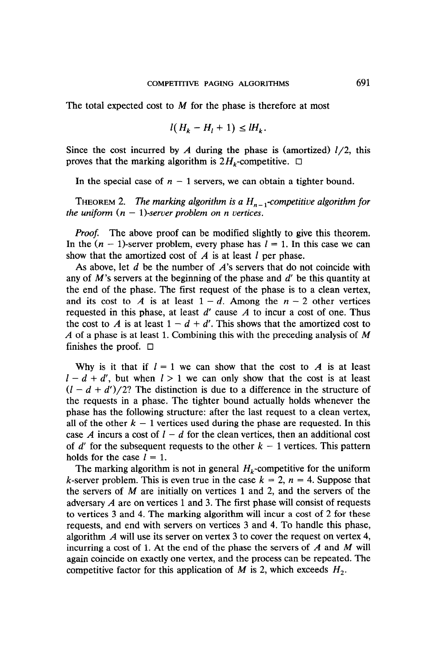The total expected cost to  $M$  for the phase is therefore at most

$$
l(H_k - H_l + 1) \leq lH_k
$$

Since the cost incurred by A during the phase is (amortized)  $l/2$ , this proves that the marking algorithm is  $2H_k$ -competitive.  $\Box$ 

In the special case of  $n - 1$  servers, we can obtain a tighter bound.

THEOREM 2. The marking algorithm is a  $H_{n-1}$ -competitive algorithm for the uniform  $(n - 1)$ -server problem on n vertices.

Proof. The above proof can be modified slightly to give this theorem. In the  $(n - 1)$ -server problem, every phase has  $l = 1$ . In this case we can show that the amortized cost of  $\vec{A}$  is at least  $\vec{l}$  per phase.

As above, let  $d$  be the number of  $A$ 's servers that do not coincide with any of  $M$ 's servers at the beginning of the phase and  $d'$  be this quantity at the end of the phase. The first request of the phase is to a clean vertex, and its cost to A is at least  $1 - d$ . Among the  $n - 2$  other vertices requested in this phase, at least  $d'$  cause  $A$  to incur a cost of one. Thus the cost to A is at least  $1 - d + d'$ . This shows that the amortized cost to A of a phase is at least 1. Combining this with the preceding analysis of  $M$ finishes the proof.  $\Box$ 

Why is it that if  $l = 1$  we can show that the cost to A is at least  $1 - d + d'$ , but when  $1 > 1$  we can only show that the cost is at least  $(1 - d + d')/2$ ? The distinction is due to a difference in the structure of the requests in a phase. The tighter bound actually holds whenever the phase has the following structure: after the last request to a clean vertex, all of the other  $k - 1$  vertices used during the phase are requested. In this case A incurs a cost of  $l - d$  for the clean vertices, then an additional cost of d' for the subsequent requests to the other  $k - 1$  vertices. This pattern holds for the case  $l = 1$ .

The marking algorithm is not in general  $H_k$ -competitive for the uniform k-server problem. This is even true in the case  $k = 2$ ,  $n = 4$ . Suppose that the servers of  $M$  are initially on vertices 1 and 2, and the servers of the adversary  $\vec{A}$  are on vertices 1 and 3. The first phase will consist of requests to vertices 3 and 4. The marking algorithm will incur a cost of 2 for these requests, and end with servers on vertices 3 and 4. To handle this phase, algorithm A will use its server on vertex 3 to cover the request on vertex 4, incurring a cost of 1. At the end of the phase the servers of  $\vec{A}$  and  $\vec{M}$  will again coincide on exactly one vertex, and the process can be repeated. The competitive factor for this application of M is 2, which exceeds  $H_2$ .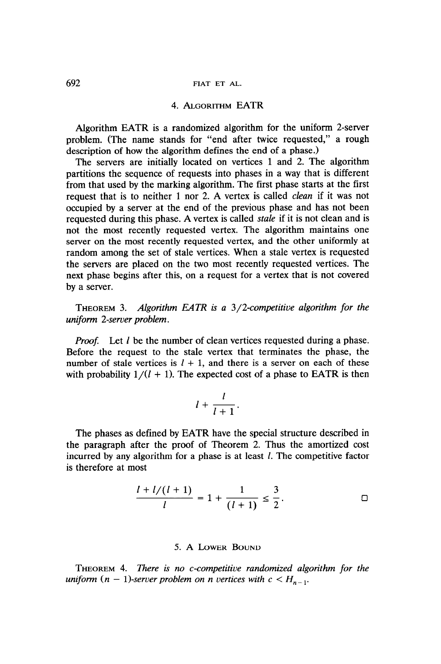## 692 FIAT ET AL.

# 4. ALGORITHM EATR

Algorithm EATR is a randomized algorithm for the uniform 2-server problem. (The name stands for "end after twice requested," a rough description of how the algorithm defines the end of a phase.)

The servers are initially located on vertices 1 and 2. The algorithm partitions the sequence of requests into phases in a way that is different from that used by the marking algorithm. The first phase starts at the first request that is to neither 1 nor 2. A vertex is called *clean* if it was not occupied by a server at the end of the previous phase and has not been requested during this phase. A vertex is called *stale* if it is not clean and is not the most recently requested vertex. The algorithm maintains one server on the most recently requested vertex, and the other uniformly at random among the set of stale vertices. When a stale vertex is requested the servers are placed on the two most recently requested vertices. The next phase begins after this, on a request for a vertex that is not covered by a server.

THEOREM 3. Algorithm EATR is a 3/2-competitive algorithm for the uniform 2-server problem.

**Proof.** Let l be the number of clean vertices requested during a phase. Before the request to the stale vertex that terminates the phase, the number of stale vertices is  $l + 1$ , and there is a server on each of these with probability  $1/(l + 1)$ . The expected cost of a phase to EATR is then

$$
l+\frac{l}{l+1}.
$$

The phases as defined by EATR have the special structure described in the paragraph after the proof of Theorem 2. Thus the amortized cost incurred by any algorithm for a phase is at least  $l$ . The competitive factor is therefore at most

$$
\frac{l + l/(l + 1)}{l} = 1 + \frac{1}{(l + 1)} \le \frac{3}{2}.
$$

### 5. A LOWER BOUND

THEOREM 4. There is no c-competitive randomized algorithm for the uniform  $(n - 1)$ -server problem on n vertices with  $c < H_{n-1}$ .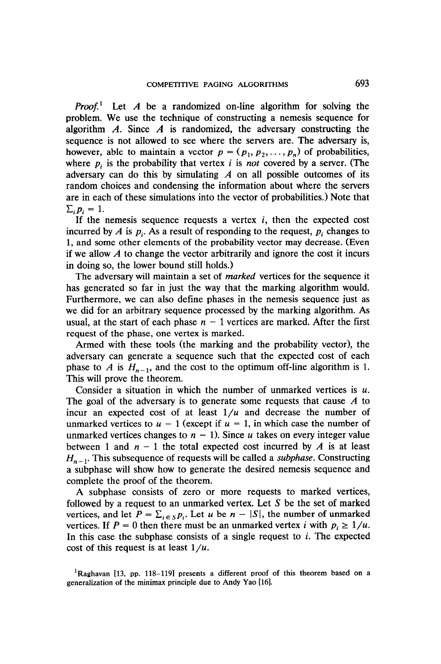*Proof.*<sup>1</sup> Let A be a randomized on-line algorithm for solving the problem. We use the technique of constructing a nemesis sequence for algorithm  $\vec{A}$ . Since  $\vec{A}$  is randomized, the adversary constructing the sequence is not allowed to see where the servers are. The adversary is, however, able to maintain a vector  $p = (p_1, p_2, \dots, p_n)$  of probabilities, where  $p_i$  is the probability that vertex i is not covered by a server. (The adversary can do this by simulating  $\overline{A}$  on all possible outcomes of its random choices and condensing the information about where the servers are in each of these simulations into the vector of probabilities.) Note that  $\sum_i p_i = 1$ .

If the nemesis sequence requests a vertex  $i$ , then the expected cost incurred by A is  $p_i$ . As a result of responding to the request,  $p_i$  changes to 1, and some other elements of the probability vector may decrease. (Even if we allow  $\vec{A}$  to change the vector arbitrarily and ignore the cost it incurs in doing so, the lower bound still holds.)

The adversary will maintain a set of *marked* vertices for the sequence it has generated so far in just the way that the marking algorithm would. Furthermore, we can also define phases in the nemesis sequence just as we did for an arbitrary sequence processed by the marking algorithm. As usual, at the start of each phase  $n-1$  vertices are marked. After the first request of the phase, one vertex is marked.

Armed with these tools (the marking and the probability vector), the adversary can generate a sequence such that the expected cost of each phase to A is  $H_{n-1}$ , and the cost to the optimum off-line algorithm is 1. This will prove the theorem.

Consider a situation in which the number of unmarked vertices is  $u$ . The goal of the adversary is to generate some requests that cause  $\vec{A}$  to incur an expected cost of at least  $1/u$  and decrease the number of unmarked vertices to  $u - 1$  (except if  $u = 1$ , in which case the number of unmarked vertices changes to  $n - 1$ ). Since u takes on every integer value between 1 and  $n - 1$  the total expected cost incurred by A is at least  $H_{n-1}$ . This subsequence of requests will be called a *subphase*. Constructing a subphase will show how to generate the desired nemesis sequence and complete the proof of the theorem.

A subphase consists of zero or more requests to marked vertices, followed by a request to an unmarked vertex. Let S be the set of marked vertices, and let  $P = \sum_{i \in S} p_i$ . Let u be  $n - |S|$ , the number of unmarked vertices. If  $P = 0$  then there must be an unmarked vertex i with  $p_i \ge 1/u$ . In this case the subphase consists of a single request to  $i$ . The expected cost of this request is at least  $1/u$ .

<sup>1</sup>Raghavan [13, pp. 118-119] presents a different proof of this theorem based on a generalization of the minimax principle due to Andy Yao [16].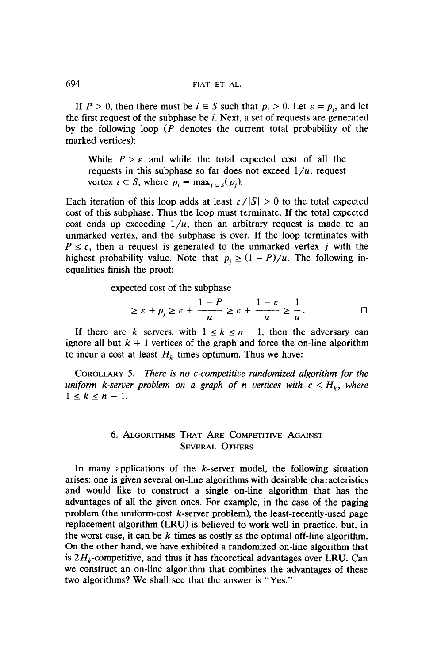If  $P > 0$ , then there must be  $i \in S$  such that  $p_i > 0$ . Let  $\varepsilon = p_i$ , and let the first request of the subphase be  $i$ . Next, a set of requests are generated by the following loop  $(P)$  denotes the current total probability of the marked vertices):

While  $P > \varepsilon$  and while the total expected cost of all the requests in this subphase so far does not exceed  $1/u$ , request vertex  $i \in S$ , where  $p_i = \max_{i \in S}(p_i)$ .

Each iteration of this loop adds at least  $\epsilon / |S| > 0$  to the total expected cost of this subphase. Thus the loop must terminate. If the total expected cost ends up exceeding  $1/u$ , then an arbitrary request is made to an unmarked vertex, and the subphase is over. If the loop terminates with  $P \leq \varepsilon$ , then a request is generated to the unmarked vertex j with the highest probability value. Note that  $p_i \ge (1 - P)/u$ . The following inequalities finish the proof:

expected cost of the subphase

$$
\geq \varepsilon + p_j \geq \varepsilon + \frac{1-P}{u} \geq \varepsilon + \frac{1-\varepsilon}{u} \geq \frac{1}{u}.
$$

If there are k servers, with  $1 \le k \le n - 1$ , then the adversary can ignore all but  $k + 1$  vertices of the graph and force the on-line algorithm to incur a cost at least  $H_k$  times optimum. Thus we have:

COROLLARY 5. There is no c-competitive randomized algorithm for the uniform k-server problem on a graph of n vertices with  $c < H_k$ , where  $1 \leq k \leq n-1$ .

# 6. ALGORITHMS THAT ARE COMPETITIVE AGAINST SEVERAL OTHERS

In many applications of the  $k$ -server model, the following situation arises: one is given several on-line algorithms with desirable characteristics and would like to construct a single on-line algorithm that has the advantages of all the given ones. For example, in the case of the paging problem (the uniform-cost  $k$ -server problem), the least-recently-used page replacement algorithm (LRU) is believed to work well in practice, but, in the worst case, it can be  $k$  times as costly as the optimal off-line algorithm. On the other hand, we have exhibited a randomized on-line algorithm that is  $2H_k$ -competitive, and thus it has theoretical advantages over LRU. Can we construct an on-line algorithm that combines the advantages of these two algorithms? We shall see that the answer is "Yes."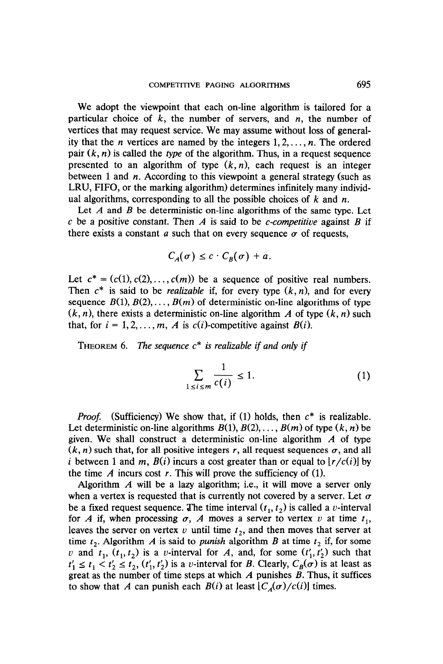We adopt the viewpoint that each on-line algorithm is tailored for a particular choice of  $k$ , the number of servers, and  $n$ , the number of vertices that may request service. We may assume without loss of generality that the *n* vertices are named by the integers  $1, 2, \ldots, n$ . The ordered pair  $(k, n)$  is called the type of the algorithm. Thus, in a request sequence presented to an algorithm of type  $(k, n)$ , each request is an integer between 1 and *n*. According to this viewpoint a general strategy (such as LRU, FIFO, or the marking algorithm) determines infinitely many individual algorithms, corresponding to all the possible choices of  $k$  and  $n$ .

Let  $A$  and  $B$  be deterministic on-line algorithms of the same type. Let c be a positive constant. Then A is said to be c-competitive against B if there exists a constant a such that on every sequence  $\sigma$  of requests,

$$
C_A(\sigma) \leq c \cdot C_B(\sigma) + a.
$$

Let  $c^* = (c(1), c(2), \ldots, c(m))$  be a sequence of positive real numbers. Then  $c^*$  is said to be *realizable* if, for every type  $(k, n)$ , and for every sequence  $B(1), B(2), \ldots, B(m)$  of deterministic on-line algorithms of type  $(k, n)$ , there exists a deterministic on-line algorithm A of type  $(k, n)$  such that, for  $i = 1, 2, ..., m$ , A is  $c(i)$ -competitive against  $B(i)$ .

THEOREM 6. The sequence  $c^*$  is realizable if and only if

$$
\sum_{1 \le i \le m} \frac{1}{c(i)} \le 1. \tag{1}
$$

*Proof.* (Sufficiency) We show that, if (1) holds, then  $c^*$  is realizable. Let deterministic on-line algorithms  $B(1), B(2), \ldots, B(m)$  of type  $(k, n)$  be given. We shall construct a deterministic on-line algorithm  $\vec{A}$  of type  $(k, n)$  such that, for all positive integers r, all request sequences  $\sigma$ , and all  $\alpha$ ,  $\mu$ , such that, for an positive integers  $\mu$ , an request sequences  $\sigma$ , and an  $t$  between T and  $m$ ,  $D(t)$  means a cost greater than or equal to the time A incurs cost r. This will prove the sufficiency of (1).

Algorithm  $\vec{A}$  will be a lazy algorithm; i.e., it will move a server only when a vertex is requested that is currently not covered by a server. Let  $\sigma$ be a fixed request sequence. The time interval  $(t_1, t_2)$  is called a v-interval for A if, when processing  $\sigma$ , A moves a server to vertex v at time  $t_1$ , leaves the server on vertex  $v$  until time  $t<sub>2</sub>$ , and then moves that server at time  $t_2$ . Algorithm A is said to *punish* algorithm B at time  $t_2$  if, for some v and  $t_1$ ,  $(t_1, t_2)$  is a v-interval for A, and, for some  $(t'_1, t'_2)$  such that  $t'_1 \le t_1 < t'_2 \le t_2$ ,  $(t'_1, t'_2)$  is a v-interval for B. Clearly,  $C_B(\sigma)$  is at least as great as the number of time steps at which A punishes B. Thus, it suffices<br>to show that A can punish each  $B(i)$  at least  $[C_A(\sigma)/c(i)]$  times.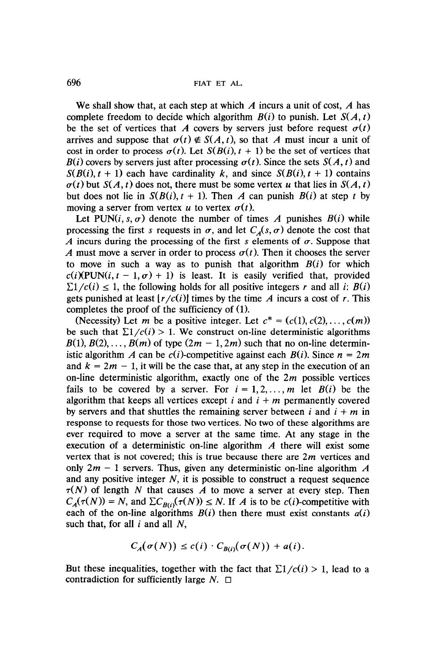We shall show that, at each step at which  $\vec{A}$  incurs a unit of cost,  $\vec{A}$  has complete freedom to decide which algorithm  $B(i)$  to punish. Let  $S(A, t)$ be the set of vertices that A covers by servers just before request  $\sigma(t)$ arrives and suppose that  $\sigma(t) \notin S(A, t)$ , so that A must incur a unit of cost in order to process  $\sigma(t)$ . Let  $S(B(i), t + 1)$  be the set of vertices that  $B(i)$  covers by servers just after processing  $\sigma(t)$ . Since the sets  $S(A, t)$  and  $S(B(i), t + 1)$  each have cardinality k, and since  $S(B(i), t + 1)$  contains  $\sigma(t)$  but  $S(A, t)$  does not, there must be some vertex u that lies in  $S(A, t)$ but does not lie in  $S(B(i), t + 1)$ . Then A can punish  $B(i)$  at step t by moving a server from vertex u to vertex  $\sigma(t)$ .

Let PUN $(i, s, \sigma)$  denote the number of times A punishes  $B(i)$  while processing the first s requests in  $\sigma$ , and let  $C_A(s, \sigma)$  denote the cost that A incurs during the processing of the first s elements of  $\sigma$ . Suppose that A must move a server in order to process  $\sigma(t)$ . Then it chooses the server to move in such a way as to punish that algorithm  $B(i)$  for which  $c(i)(\text{PUN}(i, t-1, \sigma) + 1)$  is least. It is easily verified that, provided  $\sum 1/c(i) \leq 1$ , the following holds for all positive integers r and all i:  $B(i)$ gets punished at least  $|r/c(i)|$  times by the time A incurs a cost of r. This completes the proof of the sufficiency of (1).

(Necessity) Let m be a positive integer. Let  $c^* = (c(1), c(2), \ldots, c(m))$ be such that  $\sum 1/c(i) > 1$ . We construct on-line deterministic algorithms  $B(1), B(2), \ldots, B(m)$  of type  $(2m - 1, 2m)$  such that no on-line deterministic algorithm A can be  $c(i)$ -competitive against each  $B(i)$ . Since  $n = 2m$ and  $k = 2m - 1$ , it will be the case that, at any step in the execution of an on-line deterministic algorithm, exactly one of the  $2m$  possible vertices fails to be covered by a server. For  $i = 1, 2, ..., m$  let  $B(i)$  be the algorithm that keeps all vertices except i and  $i + m$  permanently covered by servers and that shuttles the remaining server between i and  $i + m$  in response to requests for those two vertices. No two of these algorithms are ever required to move a server at the same time. At any stage in the execution of a deterministic on-line algorithm  $\vec{A}$  there will exist some vertex that is not covered; this is true because there are  $2m$  vertices and only  $2m - 1$  servers. Thus, given any deterministic on-line algorithm A and any positive integer  $N$ , it is possible to construct a request sequence  $\tau(N)$  of length N that causes A to move a server at every step. Then  $C_A(\tau(N)) = N$ , and  $\sum C_{B(i)}(\tau(N)) \le N$ . If A is to be  $c(i)$ -competitive with each of the on-line algorithms  $B(i)$  then there must exist constants  $a(i)$ such that, for all  $i$  and all  $N$ ,

$$
C_A(\sigma(N)) \leq c(i) \cdot C_{B(i)}(\sigma(N)) + a(i).
$$

But these inequalities, together with the fact that  $\Sigma 1/c(i) > 1$ , lead to a contradiction for sufficiently large  $N$ .  $\Box$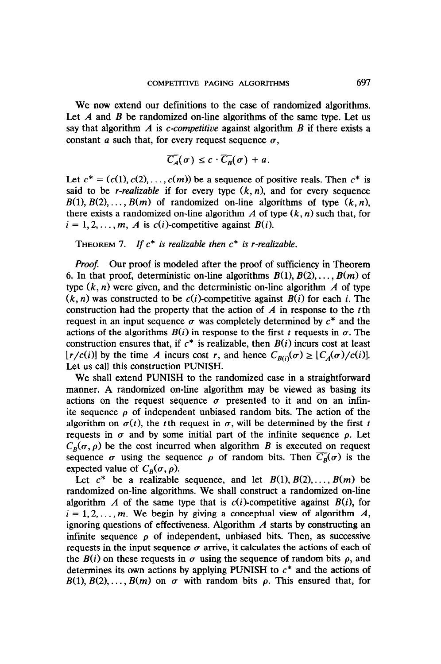We now extend our definitions to the case of randomized algorithms. Let  $\overline{A}$  and  $\overline{B}$  be randomized on-line algorithms of the same type. Let us say that algorithm A is c-competitive against algorithm B if there exists a constant a such that, for every request sequence  $\sigma$ ,

$$
\overline{C_A}(\sigma) \leq c \cdot \overline{C_B}(\sigma) + a.
$$

Let  $c^* = (c(1), c(2), \ldots, c(m))$  be a sequence of positive reals. Then  $c^*$  is said to be *r*-realizable if for every type  $(k, n)$ , and for every sequence  $B(1), B(2), \ldots, B(m)$  of randomized on-line algorithms of type  $(k, n)$ , there exists a randomized on-line algorithm A of type  $(k, n)$  such that, for  $i = 1, 2, \ldots, m$ , A is  $c(i)$ -competitive against  $B(i)$ .

THEOREM 7. If  $c^*$  is realizable then  $c^*$  is r-realizable.

*Proof.* Our proof is modeled after the proof of sufficiency in Theorem 6. In that proof, deterministic on-line algorithms  $B(1), B(2), \ldots, B(m)$  of type  $(k, n)$  were given, and the deterministic on-line algorithm A of type  $(k, n)$  was constructed to be  $c(i)$ -competitive against  $B(i)$  for each i. The construction had the property that the action of  $\vec{A}$  in response to the t<sup>th</sup> request in an input sequence  $\sigma$  was completely determined by  $c^*$  and the actions of the algorithms  $B(i)$  in response to the first t requests in  $\sigma$ . The construction ensures that, if  $c^*$  is realizable, then  $B(i)$  incurs cost at least  $[r/c(i)]$  by the time A incurs cost r, and hence  $C_{B(i)}(\sigma) \geq [C_A(\sigma)/c(i)]$ . Let us call this construction PUNISH.

We shall extend PUNISH to the randomized case in a straightforward manner. A randomized on-line algorithm may be viewed as basing its actions on the request sequence  $\sigma$  presented to it and on an infinite sequence  $\rho$  of independent unbiased random bits. The action of the algorithm on  $\sigma(t)$ , the tth request in  $\sigma$ , will be determined by the first t requests in  $\sigma$  and by some initial part of the infinite sequence  $\rho$ . Let  $C_B(\sigma, \rho)$  be the cost incurred when algorithm B is executed on request sequence  $\sigma$  using the sequence  $\rho$  of random bits. Then  $\overline{C_R}(\sigma)$  is the expected value of  $C_B(\sigma, \rho)$ .

Let  $c^*$  be a realizable sequence, and let  $B(1), B(2), \ldots, B(m)$  be randomized on-line algorithms. We shall construct a randomized on-line algorithm A of the same type that is  $c(i)$ -competitive against  $B(i)$ , for  $i = 1, 2, \ldots, m$ . We begin by giving a conceptual view of algorithm A, ignoring questions of effectiveness. Algorithm  $\Lambda$  starts by constructing an infinite sequence  $\rho$  of independent, unbiased bits. Then, as successive requests in the input sequence  $\sigma$  arrive, it calculates the actions of each of the  $B(i)$  on these requests in  $\sigma$  using the sequence of random bits  $\rho$ , and determines its own actions by applying PUNISH to  $c^*$  and the actions of  $B(1), B(2), \ldots, B(m)$  on  $\sigma$  with random bits  $\rho$ . This ensured that, for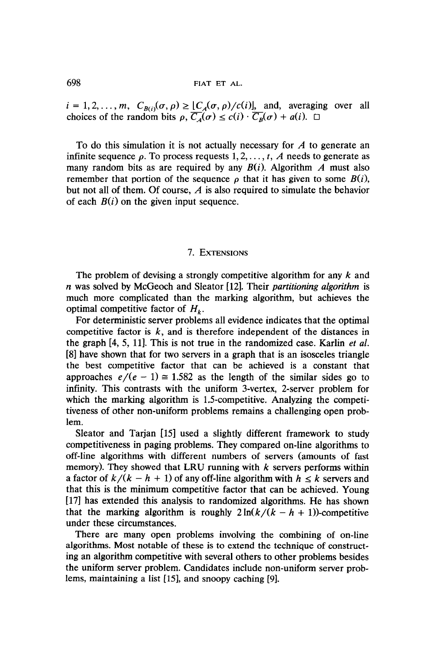$i = 1, 2, ..., m$ ,  $C_{B(i)}(\sigma, \rho) \geq |C_A(\sigma, \rho)/c(i)|$ , and, averaging over all choices of the random bits  $\rho$ ,  $\overline{C_A}(\sigma) \leq c(i) \cdot \overline{C_B}(\sigma) + a(i)$ .  $\Box$ 

To do this simulation it is not actually necessary for  $A$  to generate an infinite sequence  $\rho$ . To process requests 1, 2, ..., t, A needs to generate as many random bits as are required by any  $B(i)$ . Algorithm A must also remember that portion of the sequence  $\rho$  that it has given to some  $B(i)$ , but not all of them. Of course,  $\vec{A}$  is also required to simulate the behavior of each  $B(i)$  on the given input sequence.

### 7. EXTENSIONS

The problem of devising a strongly competitive algorithm for any  $k$  and n was solved by McGeoch and Sleator [12]. Their partitioning algorithm is much more complicated than the marking algorithm, but achieves the optimal competitive factor of  $H_k$ .

For deterministic server problems all evidence indicates that the optimal competitive factor is  $k$ , and is therefore independent of the distances in the graph  $[4, 5, 11]$ . This is not true in the randomized case. Karlin *et al.* [8] have shown that for two servers in a graph that is an isosceles triangle the best competitive factor that can be achieved is a constant that approaches  $e/(e-1) \approx 1.582$  as the length of the similar sides go to infinity. This contrasts with the uniform 3-vertex, 2-server problem for which the marking algorithm is 1.5-competitive. Analyzing the competitiveness of other non-uniform problems remains a challenging open problem.

Sleator and Tarjan [15] used a slightly different framework to study competitiveness in paging problems. They compared on-line algorithms to off-line algorithms with different numbers of servers (amounts of fast memory). They showed that LRU running with  $k$  servers performs within a factor of  $k/(k - h + 1)$  of any off-line algorithm with  $h \leq k$  servers and that this is the minimum competitive factor that can be achieved. Young [17] has extended this analysis to randomized algorithms. He has shown that the marking algorithm is roughly  $2\ln(k/(k-h+1))$ -competitive under these circumstances.

There are many open problems involving the combining of on-line algorithms. Most notable of these is to extend the technique of constructing an algorithm competitive with several others to other problems besides the uniform server problem. Candidates include non-uniform server problems, maintaining a list [15], and snoopy caching [9].